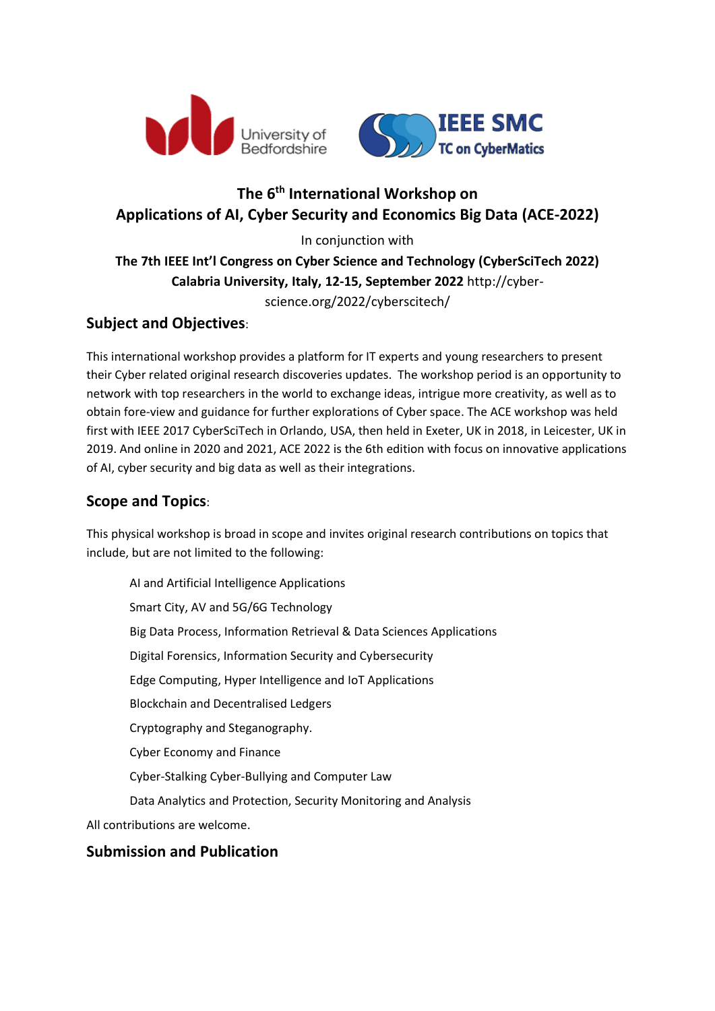

# **The 6 th International Workshop on Applications of AI, Cyber Security and Economics Big Data (ACE-2022)**

In conjunction with

**The 7th IEEE Int'l Congress on Cyber Science and Technology (CyberSciTech 2022) Calabria University, Italy, 12-15, September 2022** http://cyberscience.org/2022/cyberscitech/

# **Subject and Objectives**:

This international workshop provides a platform for IT experts and young researchers to present their Cyber related original research discoveries updates. The workshop period is an opportunity to network with top researchers in the world to exchange ideas, intrigue more creativity, as well as to obtain fore-view and guidance for further explorations of Cyber space. The ACE workshop was held first with IEEE 2017 CyberSciTech in Orlando, USA, then held in Exeter, UK in 2018, in Leicester, UK in 2019. And online in 2020 and 2021, ACE 2022 is the 6th edition with focus on innovative applications of AI, cyber security and big data as well as their integrations.

## **Scope and Topics**:

This physical workshop is broad in scope and invites original research contributions on topics that include, but are not limited to the following:

AI and Artificial Intelligence Applications Smart City, AV and 5G/6G Technology Big Data Process, Information Retrieval & Data Sciences Applications Digital Forensics, Information Security and Cybersecurity Edge Computing, Hyper Intelligence and IoT Applications Blockchain and Decentralised Ledgers Cryptography and Steganography. Cyber Economy and Finance Cyber-Stalking Cyber-Bullying and Computer Law Data Analytics and Protection, Security Monitoring and Analysis All contributions are welcome.

### **Submission and Publication**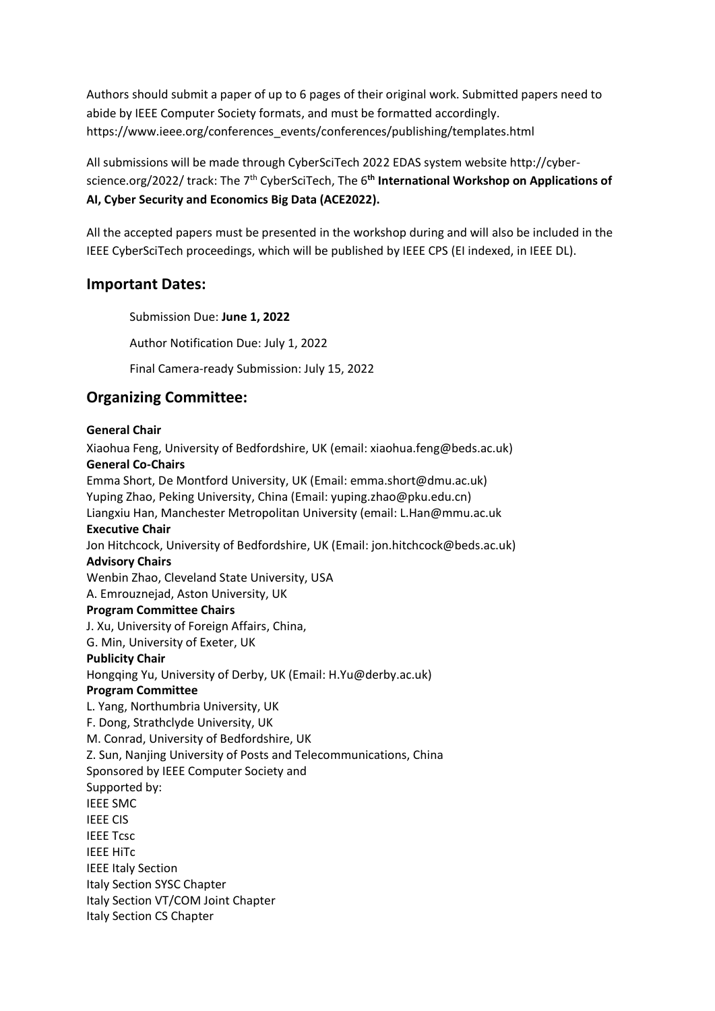Authors should submit a paper of up to 6 pages of their original work. Submitted papers need to abide by IEEE Computer Society formats, and must be formatted accordingly. https://www.ieee.org/conferences\_events/conferences/publishing/templates.html

All submissions will be made through CyberSciTech 2022 EDAS system website http://cyberscience.org/2022/ track: The 7<sup>th</sup> CyberSciTech, The 6<sup>th</sup> International Workshop on Applications of **AI, Cyber Security and Economics Big Data (ACE2022).**

All the accepted papers must be presented in the workshop during and will also be included in the IEEE CyberSciTech proceedings, which will be published by IEEE CPS (EI indexed, in IEEE DL).

#### **Important Dates:**

Submission Due: **June 1, 2022**

Author Notification Due: July 1, 2022

Final Camera-ready Submission: July 15, 2022

## **Organizing Committee:**

#### **General Chair**

Xiaohua Feng, University of Bedfordshire, UK (email: xiaohua.feng@beds.ac.uk) **General Co-Chairs** Emma Short, De Montford University, UK (Email: emma.short@dmu.ac.uk) Yuping Zhao, Peking University, China (Email: yuping.zhao@pku.edu.cn) Liangxiu Han, Manchester Metropolitan University (email: L.Han@mmu.ac.uk **Executive Chair** Jon Hitchcock, University of Bedfordshire, UK (Email: jon.hitchcock@beds.ac.uk) **Advisory Chairs** Wenbin Zhao, Cleveland State University, USA A. Emrouznejad, Aston University, UK **Program Committee Chairs** J. Xu, University of Foreign Affairs, China, G. Min, University of Exeter, UK **Publicity Chair** Hongqing Yu, University of Derby, UK (Email: H.Yu@derby.ac.uk) **Program Committee** L. Yang, Northumbria University, UK F. Dong, Strathclyde University, UK M. Conrad, University of Bedfordshire, UK Z. Sun, Nanjing University of Posts and Telecommunications, China Sponsored by IEEE Computer Society and Supported by: IEEE SMC IEEE CIS IEEE Tcsc IEEE HiTc IEEE Italy Section Italy Section SYSC Chapter Italy Section VT/COM Joint Chapter Italy Section CS Chapter